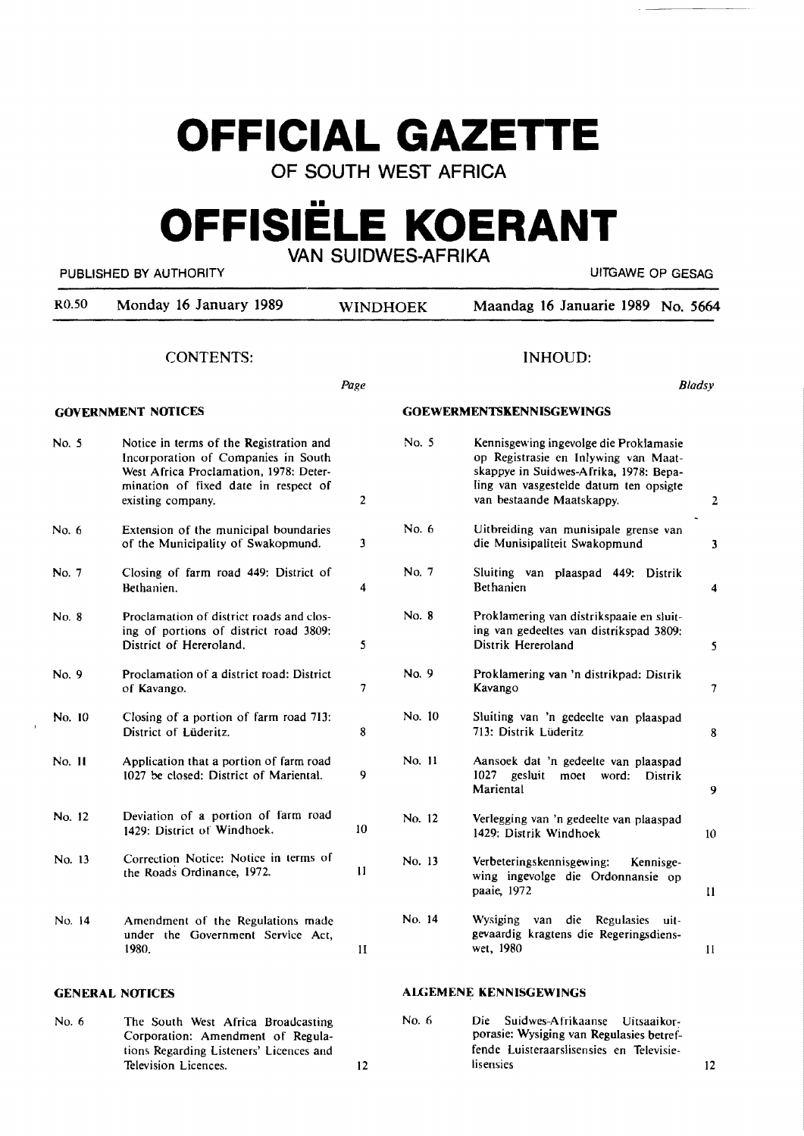# **OFFICIAL GAZETTE**

**OF SOUTH WEST AFRICA** 

# •• **OFFISIELE KOERANT VAN SUIDWES-AFRIKA**

PUBLISHED BY AUTHORITY UITGAWE OP GESAG

| R <sub>0.50</sub>         | Monday 16 January 1989                                                                                                                                                                | <b>WINDHOEK</b>                                          |        | Maandag 16 Januarie 1989 No. 5664                                                                                                                                                               |                     |  |  |  |
|---------------------------|---------------------------------------------------------------------------------------------------------------------------------------------------------------------------------------|----------------------------------------------------------|--------|-------------------------------------------------------------------------------------------------------------------------------------------------------------------------------------------------|---------------------|--|--|--|
|                           | <b>CONTENTS:</b>                                                                                                                                                                      |                                                          |        | <b>INHOUD:</b>                                                                                                                                                                                  |                     |  |  |  |
| <b>GOVERNMENT NOTICES</b> |                                                                                                                                                                                       | <b>Bladsy</b><br>Page<br><b>GOEWERMENTSKENNISGEWINGS</b> |        |                                                                                                                                                                                                 |                     |  |  |  |
| No. 5                     | Notice in terms of the Registration and<br>Incorporation of Companies in South<br>West Africa Proclamation, 1978: Deter-<br>mination of fixed date in respect of<br>existing company. | $\overline{2}$                                           | No. 5  | Kennisgewing ingevolge die Proklamasie<br>op Registrasie en Inlywing van Maat-<br>skappye in Suidwes-Afrika, 1978: Bepa-<br>ling van vasgestelde datum ten opsigte<br>van bestaande Maatskappy. | 2                   |  |  |  |
| No. $6$                   | Extension of the municipal boundaries<br>of the Municipality of Swakopmund.                                                                                                           | $\mathbf{3}$                                             | No. 6  | Uitbreiding van munisipale grense van<br>die Munisipaliteit Swakopmund                                                                                                                          | $\mathbf{3}$        |  |  |  |
| No. 7                     | Closing of farm road 449: District of<br>Bethanien.                                                                                                                                   | 4                                                        | No. 7  | Sluiting van plaaspad 449: Distrik<br>Bethanien                                                                                                                                                 | $\overline{\bf{4}}$ |  |  |  |
| No. 8                     | Proclamation of district roads and clos-<br>ing of portions of district road 3809:<br>District of Hereroland.                                                                         | 5                                                        | No. 8  | Proklamering van distrikspaaie en sluit-<br>ing van gedeeltes van distrikspad 3809:<br>Distrik Hereroland                                                                                       | 5                   |  |  |  |
| No. 9                     | Proclamation of a district road: District<br>of Kavango.                                                                                                                              | 7                                                        | No. 9  | Proklamering van 'n distrikpad: Distrik<br>Kavango                                                                                                                                              | 7                   |  |  |  |
| No. 10                    | Closing of a portion of farm road 713:<br>District of Lüderitz.                                                                                                                       | 8                                                        | No. 10 | Sluiting van 'n gedeelte van plaaspad<br>713: Distrik Lüderitz                                                                                                                                  | 8                   |  |  |  |
| No. 11                    | Application that a portion of farm road<br>1027 be closed: District of Mariental.                                                                                                     | 9                                                        | No. 11 | Aansoek dat 'n gedeelte van plaaspad<br>1027 gesluit<br>moet word:<br>Distrik<br>Mariental                                                                                                      | 9                   |  |  |  |
| No. 12                    | Deviation of a portion of farm road<br>1429: District of Windhoek.                                                                                                                    | 10                                                       | No. 12 | Verlegging van 'n gedeelte van plaaspad<br>1429: Distrik Windhoek                                                                                                                               | 10                  |  |  |  |
| No. 13                    | Correction Notice: Notice in terms of<br>the Roads Ordinance, 1972.                                                                                                                   | $\mathbf{11}$                                            | No. 13 | Verbeteringskennisgewing:<br>Kennisge-<br>wing ingevolge die Ordonnansie op<br>paaie, 1972                                                                                                      | $\mathbf{11}$       |  |  |  |
| No. 14                    | Amendment of the Regulations made<br>under the Government Service Act.<br>1980.                                                                                                       | $\mathbf{I}$                                             | No. 14 | Wysiging van die Regulasies uit-<br>gevaardig kragtens die Regeringsdiens-<br>wet, 1980                                                                                                         | 11                  |  |  |  |

12

#### **GENERAL NOfICES**

No. 6 The South West Africa Broadcasting Corporation: Amendment of Regulations. Regarding Listeners' Licences and Television Licences.

#### **ALGEMENE KENNISGEWINGS**

No. 6 Die Suidwes-Afrikaanse Uicsaaikorporasie: Wysiging van Regulasies betreffende Luisteraarslisensies en Televisielisensies

12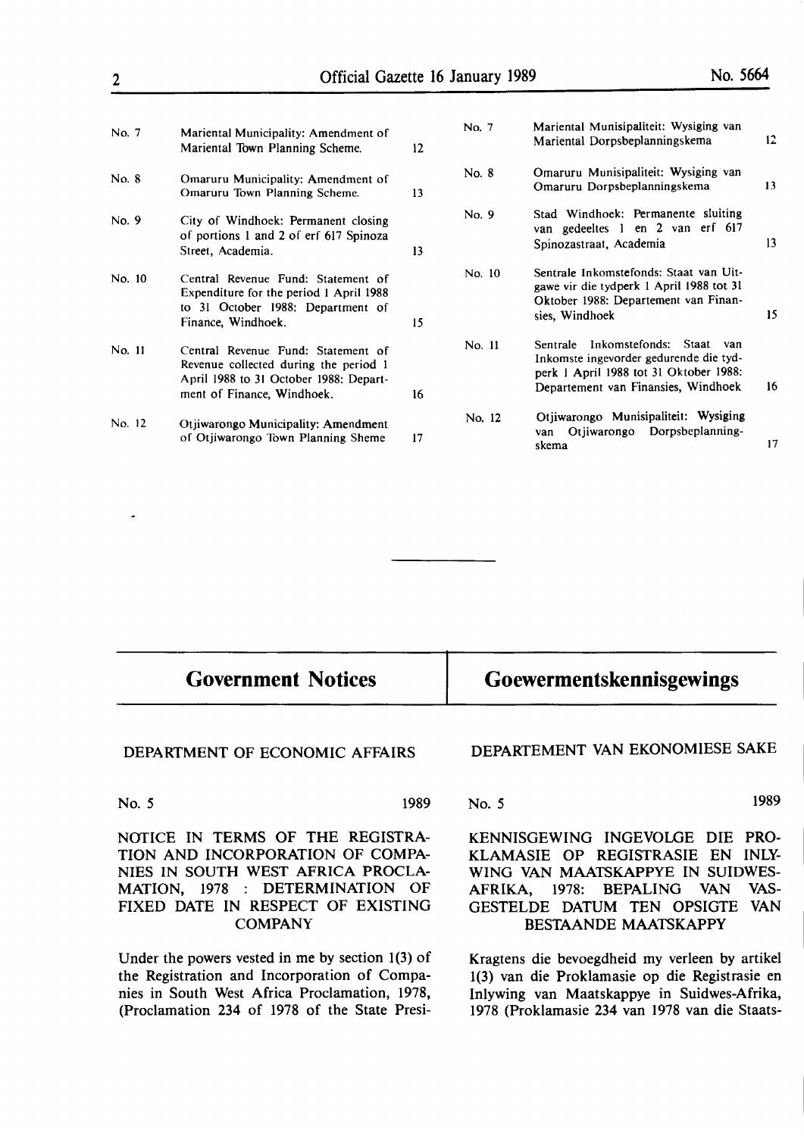| No. 7  | Mariental Municipality: Amendment of<br>Mariental Town Planning Scheme.                                                                             | 12 | No. 7  | Mariental Munisipaliteit: Wysiging van<br>Mariental Dorpsbeplanningskema                                                                                              | 12 |
|--------|-----------------------------------------------------------------------------------------------------------------------------------------------------|----|--------|-----------------------------------------------------------------------------------------------------------------------------------------------------------------------|----|
| No. 8  | Omaruru Municipality: Amendment of<br>Omaruru Town Planning Scheme.                                                                                 | 13 | No. 8  | Omaruru Munisipaliteit: Wysiging van<br>Omaruru Dorpsbeplanningskema                                                                                                  | 13 |
| No. 9  | City of Windhoek: Permanent closing<br>of portions 1 and 2 of erf 617 Spinoza<br>Street, Academia.                                                  | 13 | No. 9  | Stad Windhoek: Permanente sluiting<br>van gedeeltes 1 en 2 van erf 617<br>Spinozastraat, Academia                                                                     | 13 |
| No. 10 | Central Revenue Fund: Statement of<br>Expenditure for the period 1 April 1988<br>to 31 October 1988: Department of<br>Finance, Windhoek.            | 15 | No. 10 | Sentrale Inkomstefonds: Staat van Uit-<br>gawe vir die tydperk 1 April 1988 tot 31<br>Oktober 1988: Departement van Finan-<br>sies, Windhoek                          | 15 |
| No. 11 | Central Revenue Fund: Statement of<br>Revenue collected during the period 1<br>April 1988 to 31 October 1988: Depart-<br>ment of Finance, Windhoek. | 16 | No. 11 | Inkomstefonds:<br>Staat<br>Sentrale<br>van<br>Inkomste ingevorder gedurende die tyd-<br>perk 1 April 1988 tot 31 Oktober 1988:<br>Departement van Finansies, Windhoek | 16 |
| No. 12 | Otjiwarongo Municipality: Amendment<br>of Otjiwarongo Town Planning Sheme                                                                           | 17 | No. 12 | Otjiwarongo Munisipaliteit: Wysiging<br>Dorpsbeplanning-<br>Otjiwarongo<br>van<br>skema                                                                               | 17 |

| <b>Government Notices</b> | <b>Goewermentskennisgewings</b> |
|---------------------------|---------------------------------|
|                           |                                 |

DEPARTMENT OF ECONOMIC AFFAIRS

**DEPARTEMENT VAN EKONOMIESE SAKE** 

No. 5 1989

No. 5 1989

NOTICE IN TERMS OF THE REGISTRA-TION AND INCORPORATION OF COMPA-NIES IN SOUTH WEST AFRICA PROCLA-MATION, 1978 : DETERMINATION OF FIXED DATE IN RESPECT OF EXISTING **COMPANY** 

Under the powers vested in me by section 1(3) of the Registration and Incorporation of Companies in South West Africa Proclamation, 1978, (Proclamation 234 of 1978 of the State Presi-

KENNISGEWING INGEVOLGE DIE PRO-**KLAMASIE OP REGISTRASIE EN INLY-WING VAN MAATSKAPPYE IN** SUIDWES-**AFRIKA,** 1978: BEPALING VAN VAS-GESTELDE DATUM TEN OPSIGTE VAN BESTAANDE **MAATSKAPPY** 

Kragtens die bevoegdheid my verleen by artikel 1(3) van die Proklamasie op die Registrasie en Inlywing van Maatskappye in Suidwes-Afrika, 1978 (Proklamasie 234 van 1978 van die Staats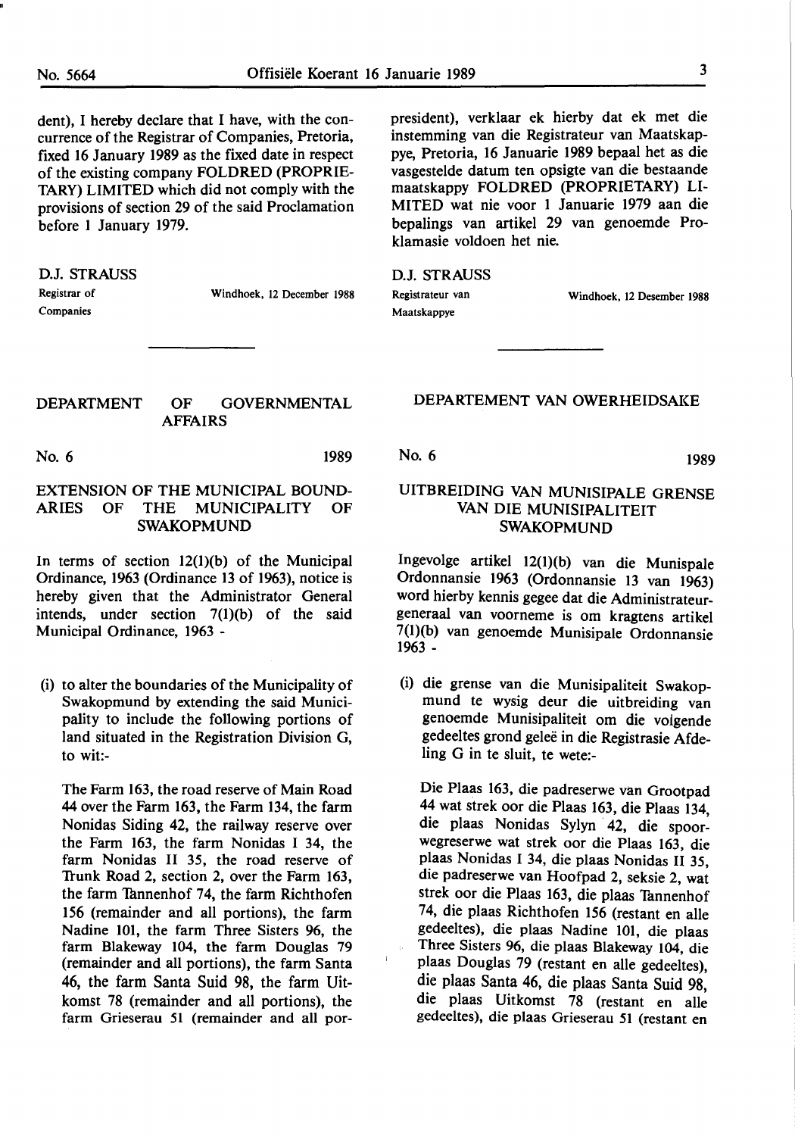dent), I hereby declare that I have, with the concurrence of the Registrar of Companies, Pretoria, fixed 16 January 1989 as the fixed date in respect of the existing company FOLDRED **(PROPRIE-TARY)** LIMITED which did not comply with the provisions of section 29 of the said Proclamation before 1 January 1979.

D.J. STRAUSS Registrar of Companies

Windhoek, 12 December 1988

president), verklaar ek hierby dat ek met die instemming van die Registrateur van Maatskappye, Pretoria, 16 Januarie 1989 bepaal het as die vasgestelde datum ten opsigte van die bestaande maatskappy FOLDRED **(PROPRIETARY)** LI-MITED wat nie voor 1 Januarie 1979 aan die bepalings van artikel 29 van genoemde Proklamasie voldoen het nie.

D.J. STRAUSS Registrateur van Maatskappye

Windhoek, 12 Desember 1988

#### DEPARTMENT OF GOVERNMENTAL AFFAIRS

No. 6 1989

### EXTENSION OF THE MUNICIPAL BOUND-<br>ARIES OF THE MUNICIPALITY OF THE MUNICIPALITY OF **SWAKOPMUND**

In terms of section  $12(1)(b)$  of the Municipal Ordinance, 1963 (Ordinance 13 of 1963), notice is hereby given that the Administrator General intends, under section 7(l)(b) of the said Municipal Ordinance, 1963 -

(i) to alter the boundaries of the Municipality of Swakopmund by extending the said Municipality to include the following portions of land situated in the Registration Division G, to wit:-

The Farm 163, the road reserve of Main Road 44 over the Farm 163, the Farm 134, the farm Nonidas Siding 42, the railway reserve over the Farm 163, the farm Nonidas I 34, the farm Nonidas II 35, the road reserve of Trunk Road 2, section 2, over the Farm 163, the farm Tannenhof 74, the farm Richthofen 156 (remainder and all portions), the farm Nadine 101, the farm Three Sisters 96, the farm Blakeway 104, the farm Douglas 79 (remainder and all portions), the farm Santa 46, the farm Santa Suid 98, the farm Uitkomst 78 (remainder and all portions), the farm Grieserau 51 (remainder and all por-

#### DEPARTEMENT VAN OWERHEIDSAKE

No. 6 1989

### UITBREIDING VAN MUNISIPALE GRENSE VAN DIE MUNISIPALITEIT **SWAKOPMUND**

Ingevolge artikel 12(l)(b) van die Munispale Ordonnansie 1963 (Ordonnansie 13 van 1963) word hierby kennis gegee dat die Administrateurgeneraal van voorneme is om kragtens artikel 7(l)(b) van genoemde Munisipale Ordonnansie 1963 -

(i) die grense van die Munisipaliteit Swakopmund te wysig deur die uitbreiding van genoemde Munisipaliteit om die voigende gedeeltes grond gelee in die Registrasie Afdeling G in te sluit, te wete:-

Die Plaas 163, die padreserwe van Grootpad 44 wat strek oor die Plaas 163, die Plaas 134, die plaas Nonidas Sylyn 42, die spoorwegreserwe wat strek oor die Plaas 163, die plaas Nonidas I 34, die plaas Nonidas II 35 die padreserwe van Hoofpad 2, seksie 2, wat strek oor die Plaas 163, die plaas Tannenhof 74, die plaas Richthofen 156 (restant en alle gedeeltes), die plaas Nadine 101, die plaas Three Sisters 96, die plaas Blakeway 104, die plaas Douglas 79 (restant en alle gedeeltes), die plaas Santa 46, die plaas Santa Suid 98 die plaas Uitkomst 78 (restant en all; gedeeltes), die plaas Grieserau 51 (restant en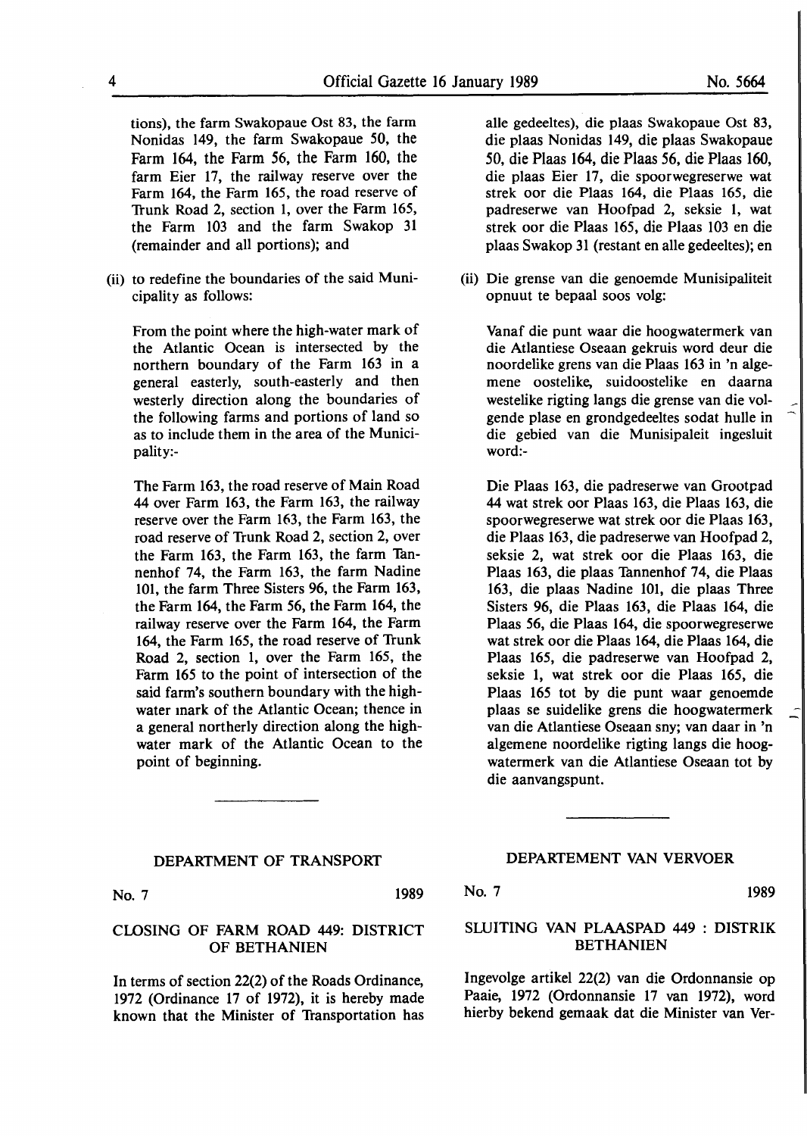tions), the farm Swakopaue Ost 83, the farm Nonidas 149, the farm Swakopaue 50, the Farm 164, the Farm 56, the Farm 160, the farm Eier 17, the railway reserve over the Farm 164, the Farm 165, the road reserve of Trunk Road 2, section 1, over the Farm 165, the Farm 103 and the farm Swakop 31 (remainder and all portions); and

(ii) to redefine the boundaries of the said Municipality as follows:

From the point where the high-water mark of the Atlantic Ocean is intersected **by** the northern boundary of the Farm 163 in a general easterly, south-easterly and then westerly direction along the boundaries of the following farms and portions of land so as to include them in the area of the Municipality:-

The Farm 163, the road reserve of Main Road 44 over Farm 163, the Farm 163, the railway reserve over the Farm 163, the Farm 163, the road reserve of Trunk Road 2, section 2, over the Farm 163, the Farm 163, the farm Tannenhof 74, the Farm 163, the farm Nadine 101, the farm Three Sisters 96, the Farm 163, the Farm 164, the Farm 56, the Farm 164, the railway reserve over the Farm 164, the Farm 164, the Farm 165, the road reserve of Trunk Road 2, section 1, over the Farm 165, the Farm 165 to the point of intersection of the said farm's southern boundary with the highwater mark of the Atlantic Ocean; thence in a general northerly direction along the highwater mark of the Atlantic Ocean to the point of beginning.

#### DEPARTMENT OF TRANSPORT

No. 7 1989

#### CLOSING OF FARM ROAD 449: DISTRICT OF BETHANIEN

In terms of section 22(2) of the Roads Ordinance, 1972 (Ordinance 17 of 1972), it is hereby made known that the Minister of Transportation has alle gedeeltes), die plaas Swakopaue Ost 83, die plaas Nonidas 149, die plaas Swakopaue 50, die Plaas 164, die Plaas 56, die Plaas 160, die plaas Bier 17, die spoorwegreserwe wat strek oor die Plaas 164, die Plaas 165, die padreserwe van Hoofpad 2, seksie 1, wat strek oor die Plaas 165, die Plaas 103 en die plaas Swakop 31 (restant en alle gedeeltes); en

(ii) Die grense van die genoemde Munisipaliteit opnuut te bepaal soos volg:

Vanaf die punt waar die hoogwatermerk van die Atlantiese Oseaan gekruis word deur die noordelike grens van die Plaas 163 in 'n algemene oostelike, suidoostelike en daarna westelike rigting langs die grense van die volgende plase en grondgedeeltes sodat hulle in die gebied van die Munisipaleit ingesluit word:-

Die Plaas 163, die padreserwe van Grootpad 44 wat strek oor Plaas 163, die Plaas 163, die spoorwegreserwe wat strek oor die Plaas **163,**  die Plaas 163, die padreserwe van Hoofpad 2, seksie 2, wat strek oor die Plaas 163, die Plaas 163, die plaas Tannenhof 74, die Plaas 163, die plaas Nadine 101, die plaas Three Sisters 96, die Plaas 163, die Plaas 164, die Plaas 56, die Plaas 164, die spoorwegreserwe wat strek oor die Plaas 164, die Plaas 164, die Plaas 165, die padreserwe van Hoofpad 2, seksie 1, wat strek oor die Plaas 165, die Plaas 165 tot by die punt waar genoemde plaas se suidelike grens die hoogwatermerk van die Atlantiese Oseaan sny; **van** daar **in 'n**  algemene noordelike rigting langs die hoogwatermerk van die Atlantiese Oseaan tot by die aanvangspunt.

#### **DEPARTEMENT VAN VERVOER**

No. 7 1989

#### SLUITING VAN PLAASPAD 449 : DISTRIK BETHANIEN

Ingevolge artikel 22(2) van die Ordonnansie op Paaie, 1972 (Ordonnansie 17 van 1972), word hierby bekend gemaak dat die Minister van Ver-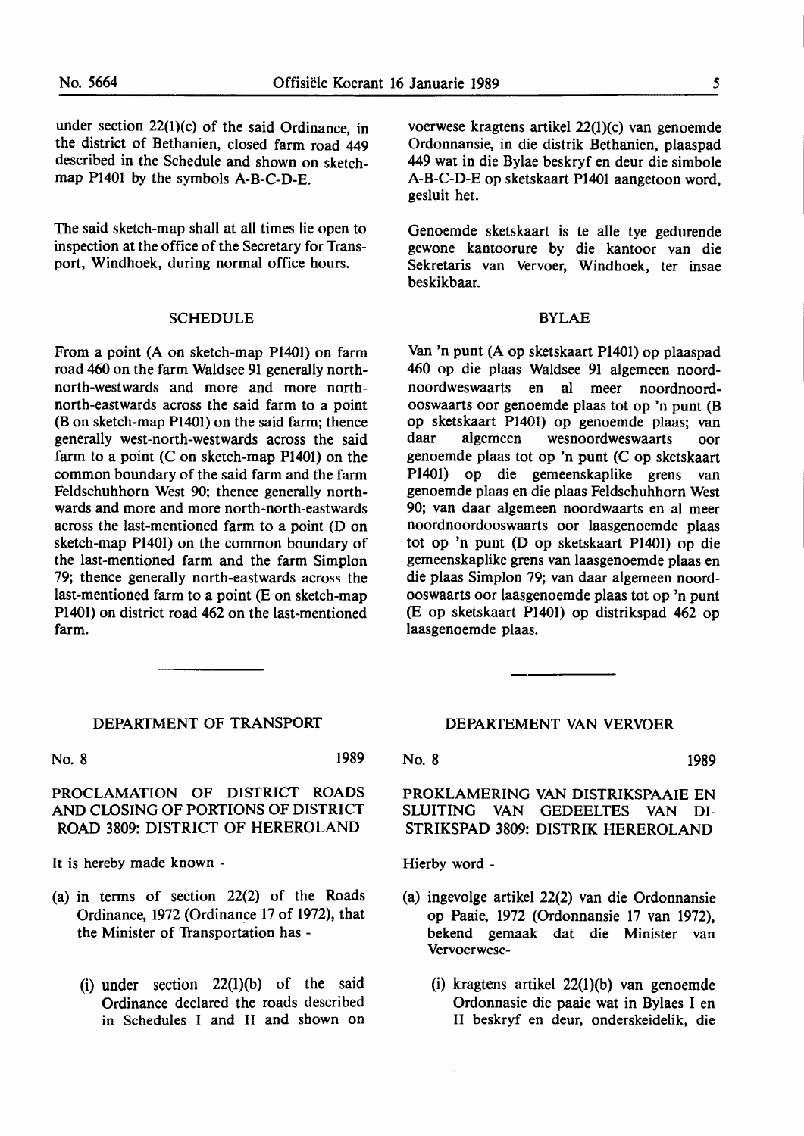under section 22(1)(c) of the said Ordinance, in the district of Bethanien, closed farm road 449 described in the Schedule and shown on sketchmap P1401 by the symbols A-B-C-D-E.

The said sketch-map shall at all times lie open to inspection at the office of the Secretary for Transport, Windhoek, during normal office hours.

#### SCHEDULE

From a point (A on sketch-map P1401) on farm road 460 on the farm Waldsee 91 generally northnorth-westwards and more and more northnorth-eastwards across the said farm to a point (Bon sketch-map P1401) on the said farm; thence generally west-north-westwards across the said farm to a point  $(C \text{ on sketch-map } P1401)$  on the common boundary of the said farm and the farm Feldschuhhorn West 90; thence generally northwards and more and more north-north-eastwards across the last-mentioned farm to a point (D on sketch-map P1401) on the common boundary of the last-mentioned farm and the farm Simplon 79; thence generally north-eastwards across the last-mentioned farm to a point (E on sketch-map P1401) on district road 462 on the last-mentioned farm.

voerwese kragtens artikel 22(1)(c) van genoemde Ordonnansie, in die distrik Bethanien, plaaspad 449 wat in die Bylae beskryf en deur die simbole A-B-C-D-E op sketskaart Pl401 aangetoon word, gesluit het.

Genoemde sketskaart is te alle tye gedurende gewone kantoorure by die kantoor van die Sekretaris van Vervoer, Windhoek, ter insae beskikbaar.

#### BYLAE

Van 'n punt (A op sketskaart P1401) op plaaspad 460 op die plaas Waldsee 91 algemeen noordnoordweswaarts en al meer noordnoordooswaarts oor genoemde plaas tot op 'n punt (B op sketskaart P1401) op genoemde plaas; van daar algemeen wesnoordweswaarts oor genoemde plaas tot op 'n punt (C op sketskaart Pl401) op die gemeenskaplike grens van genoemde plaas en die plaas Feldschuhhorn West 90; van daar algemeen noordwaarts en al meer noordnoordooswaarts oor laasgenoemde plaas tot op 'n punt (D op sketskaart P1401) op die gemeenskaplike grens van laasgenoemde plaas en die plaas Simplon 79; van daar algemeen noordooswaarts oor laasgenoemde plaas tot op 'n punt (E op sketskaart P1401) op distrikspad 462 op laasgenoemde plaas.

#### **DEPARTMENT** OF **TRANSPORT**

No. 8 1989

PROCLAMATION OF DISTRICT ROADS AND CLOSING OF PORTIONS OF DISTRICT ROAD 3809: DISTRICT OF HEREROLAND

It is hereby made known -

- (a) in terms of section 22(2) of the Roads Ordinance, 1972 (Ordinance 17 of 1972), that the Minister of Transportation has -
	- (i) under section 22(l)(b) of the said Ordinance declared the roads described in Schedules I and II and shown on

DEPARTEMENT VAN VERVOER

No. 8 1989

PROKLAMERING VAN DISTRIKSPAAIE EN SLUITING VAN GEDEELTES VAN DI-STRIKSPAD 3809: DISTRIK HEREROLAND

Hierby word -

- (a) ingevolge artikel 22(2) van die Ordonnansie op Paaie, 1972 (Ordonnansie 17 van 1972), bekend gemaak dat die Minister van Vervoerwese-
	- (i) kragtens artikel 22(1)(b) van genoemde Ordonnasie die paaie wat in Bylaes I en II beskryf en deur, onderskeidelik, die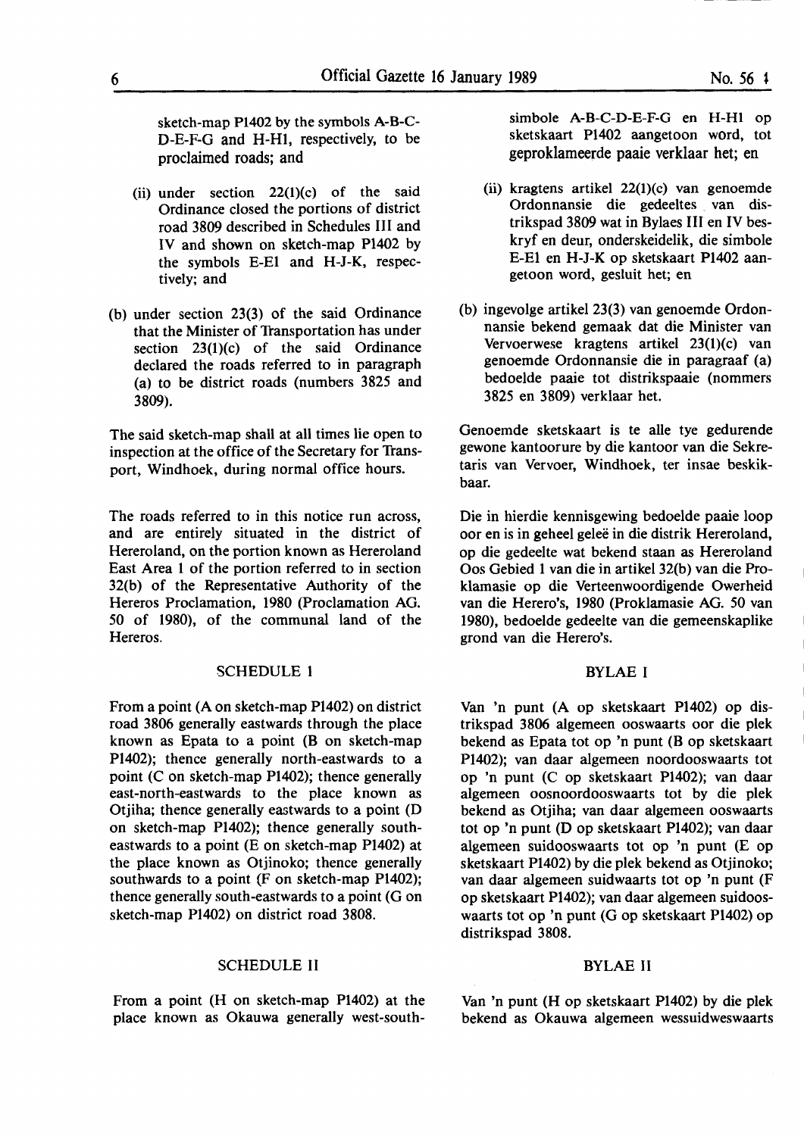sketch-map P1402 by the symbols A-B-C-D-E-F-G and H-Hl, respectively, to be proclaimed roads; and

- (ii) under section 22(1)(c) of the said Ordinance closed the portions of district road 3809 described in Schedules III and IV and shown on sketch-map P1402 by the symbols E-El and **H-J-K,** respectively; and
- (b) under section 23(3) of the said Ordinance that the Minister of Transportation has under section  $23(1)(c)$  of the said Ordinance declared the roads referred to in paragraph (a) to be district roads (numbers 3825 and 3809).

The said sketch-map shall at all times lie open to inspection at the office of the Secretary for Transport, Windhoek, during normal office hours.

The roads referred to in this notice run across, and are entirely situated in the district of Hereroland, on the portion known as Hereroland East Area 1 of the portion referred to in section 32(b) of the Representative Authority of the Hereros Proclamation, 1980 (Proclamation AG. 50 of 1980), of the communal land of the Hereros.

#### SCHEDULE 1

From a point (A on sketch-map Pl402) on district road 3806 generally eastwards through the place known as Epata to a point (B on sketch-map P1402); thence generally north-eastwards to a point (C on sketch-map P1402); thence generally east-north-eastwards to the place known as Otjiha; thence generally eastwards to a point (D on sketch-map P1402); thence generally southeastwards to a point (E on sketch-map P1402) at the place known as Otjinoko; thence generally southwards to a point {F on sketch-map P1402); thence generally south-eastwards to a point (G on sketch-map P1402) on district road 3808.

#### SCHEDULE II

From a point (H on sketch-map P1402) at the place known as Okauwa generally west-southsimbole A-B-C-D-E-F-G en H-Hl op sketskaart P1402 aangetoon word, tot geproklameerde paaie verklaar het; en

- (ii) kragtens artikel 22(1)(c) van genoemde Ordonnansie die gedeeltes \_ van distrikspad 3809 wat in Bylaes III en IV beskryf en deur, onderskeidelik, die simbole E-El en **H-J-K** op sketskaart P1402 aangetoon word, gesluit het; en
- (b) ingevolge artikel 23(3) van genoemde Ordonnansie bekend gemaak dat die Minister van Vervoerwese kragtens artikel 23(1)(c) van genoemde Ordonnansie die in paragraaf (a) bedoelde paaie tot distrikspaaie (nommers 3825 en 3809) verklaar het.

Genoemde sketskaart is te alle tye gedurende gewone kantoorure by die kantoor van die Sekretaris van Vervoer, Windhoek, ter insae beskikbaar.

Die in hierdie kennisgewing bedoelde paaie loop oor en is in geheel gelee in die distrik Hereroland, op die gedeelte wat bekend staan as Hereroland Oos Gebied 1 van die in artikel 32(b) van die Proklamasie op die Verteenwoordigende Owerheid van die Herero's, 1980 (Proklamasie AG. 50 van 1980), bedoelde gedeelte van die gemeenskaplike grond van die Herero's.

#### BYLAE I

Van 'n punt (A op sketskaart P1402) op distrikspad 3806 algemeen ooswaarts oor die plek bekend as Epata tot op 'n punt (B op sketskaart P1402); van daar algemeen noordooswaarts tot op 'n punt (C op sketskaart P1402); van daar algemeen oosnoordooswaarts tot by die plek bekend as Otjiha; van daar algemeen ooswaarts tot op 'n punt (D op sketskaart P1402); van daar algemeen suidooswaarts tot op 'n punt (E op sketskaart P1402) by die plek bekend as Otjinoko; van daar algemeen suidwaarts tot op 'n punt (F op sketskaart P1402); van daar algemeen suidooswaarts tot op 'n punt (G op sketskaart P1402) op distrikspad 3808.

#### BYLAE II

Van 'n punt (H op sketskaart P1402) by die plek bekend as Okauwa algemeen wessuidweswaarts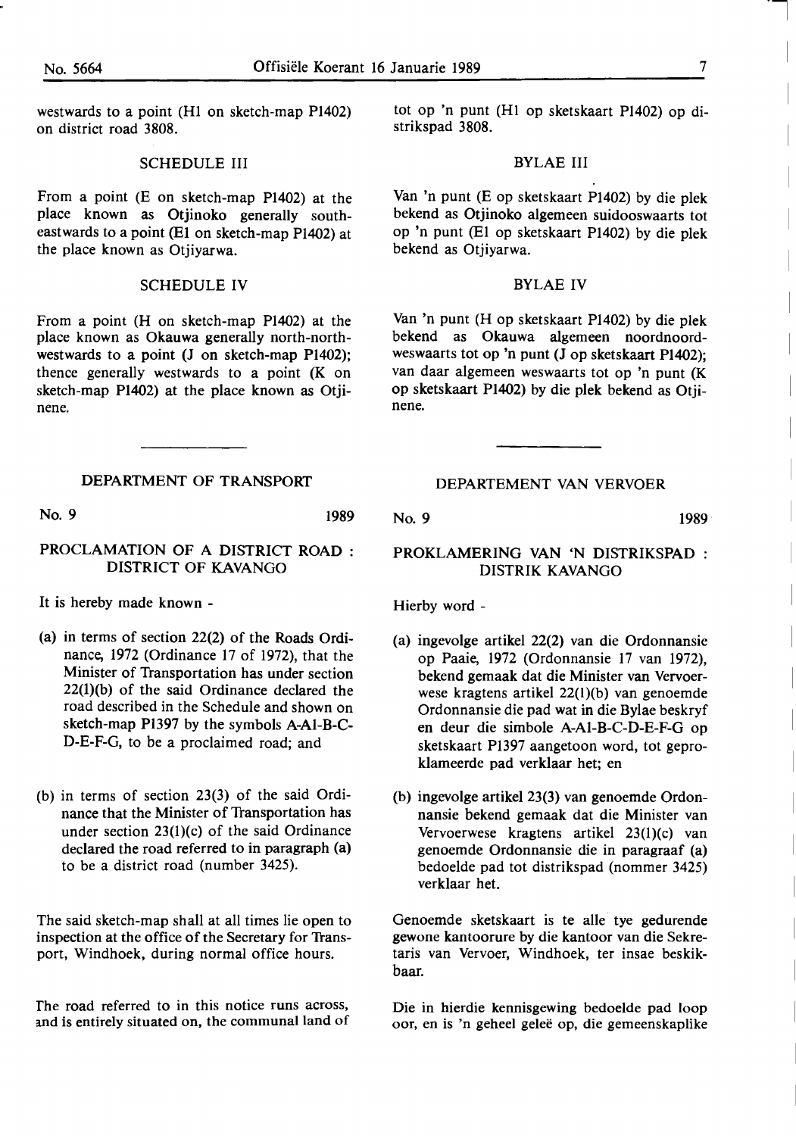westwards to a point (HI on sketch-map P1402) on district road 3808.

#### SCHEDULE III

From a point (E on sketch-map P1402) at the place known as Otjinoko generally southeastwards to a point (El on sketch-map P1402) at the place known as Otjiyarwa.

#### SCHEDULE IV

From a point (H on sketch-map Pl402) at the place known as Okauwa generally north-northwestwards to a point (J on sketch-map P1402); thence generally westwards to a point (K on sketch-map P1402) at the place known as Otiinene.

#### DEPARTMENT OF TRANSPORT

No. 9 1989

#### PROCLAMATION OF A DISTRICT ROAD : DISTRICT OF **KAVANGO**

It is hereby made known -

- (a) in terms of section 22(2) of the Roads Ordinance, 1972 (Ordinance 17 of 1972), that the Minister of Transportation has under section 22(l)(b) of the said Ordinance declared the road described in the Schedule and shown on sketch-map P1397 by the symbols A-Al-B-C-D-E-F-G, to be a proclaimed road; and
- (b) in terms of section 23(3) of the said Ordinance that the Minister of Transportation has under section 23(1)(c) of the said Ordinance declared the road referred to in paragraph (a) to be a district road (number 3425).

The said sketch-map shall at all times lie open to inspection at the office of the Secretary for Transport, Windhoek, during normal office hours.

The road referred to in this notice runs across, and is entirely situated on, the communal land of tot op 'n punt (HI op sketskaart P1402) op distrikspad 3808.

#### BYLAE III

Van 'n punt (E op sketskaart P1402) by die plek bekend as Otjinoko algemeen suidooswaarts tot op 'n punt (El op sketskaart P1402) by die plek bekend as Otjiyarwa.

#### BYLAE IV

Van 'n punt (H op sketskaart P1402) by die plek bekend as Okauwa algemeen noordnoordweswaarts tot op 'n punt (J op sketskaart P1402); van daar algemeen weswaarts tot op 'n punt (K op sketskaart P1402) by die plek bekend as Otjinene.

**DEPARTEMENT VAN VERVOER** 

No. 9 **1989** 

#### **PROKLAMERING VAN 'N DISTRIKSPAD DISTRIK KAVANGO**

Hierby word -

- ( a) ingevolge artikel 22(2) van die Ordonnansie op Paaie, 1972 (Ordonnansie 17 van 1972), bekend gemaak dat die Minister van Vervoerwese kragtens artikel 22(1)(b) van genoemde Ordonnansie die pad wat in die Bylae beskryf en deur die simbole A-Al-B-C-D-E-F-G op sketskaart P1397 aangetoon word, tot geproklameerde pad verklaar bet; en
- (b) ingevolge artikel 23(3) van genoemde Ordonnansie bekend gemaak dat die Minister van Vervoerwese kragtens artikel 23(1)(c) van genoemde Ordonnansie die in paragraaf (a) bedoelde pad tot distrikspad (nommer 3425) verklaar bet.

Genoemde sketskaart is te alle tye gedurende gewone kantoorure by die kantoor van die Sekretaris van Vervoer, Windhoek, ter insae **beskik**baar.

Die in hierdie kennisgewing bedoelde pad loop oor, en is 'n geheel gelee op, die gemeenskaplike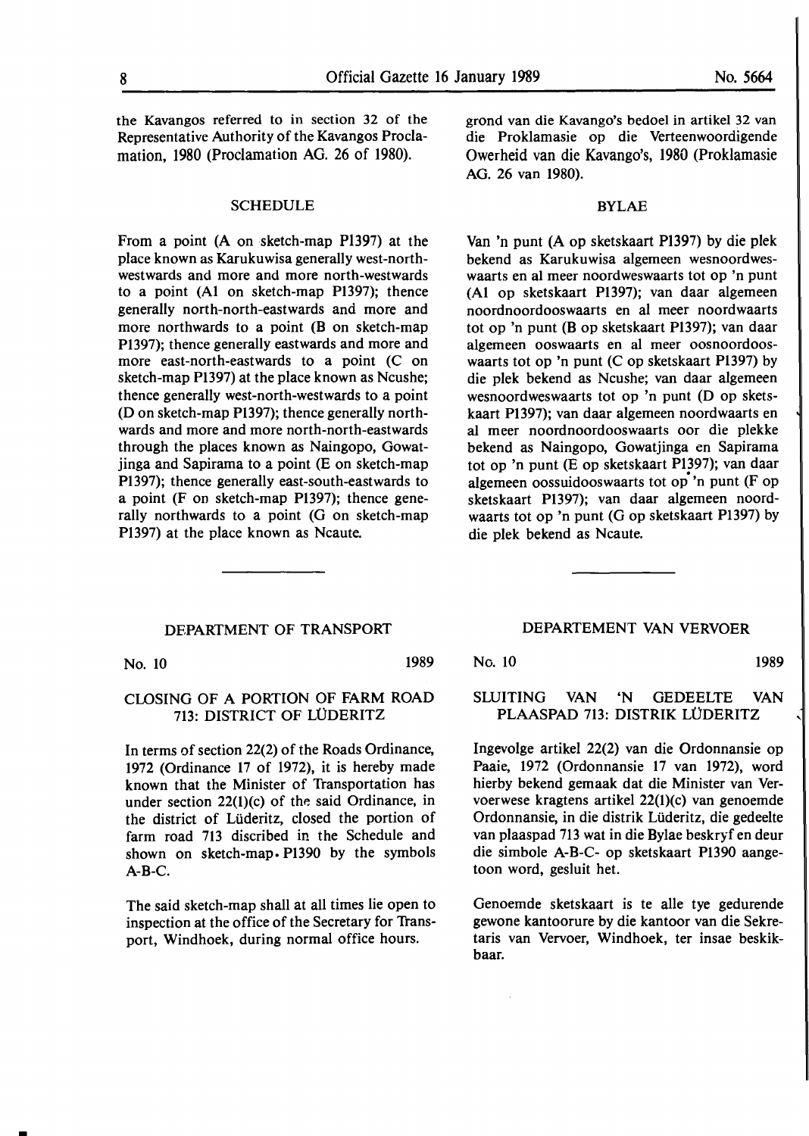the Kavangos referred to in section 32 of the Representative Authority of the Kavangos Proclamation, 1980 (Proclamation AG. 26 of 1980).

#### SCHEDULE

From a point **(A** on sketch-map Pl397) at the place known as Karukuwisa generally west-northwestwards and more and more north-westwards to a point (Al on sketch-map Pl397); thence generally north-north-eastwards and more and more northwards to a point (B on sketch-map P1397); thence generally eastwards and more and more east-north-eastwards to a point (C on sketch-map Pl397) at the place known as Ncushe; thence generally west-north-westwards to a point (D on sketch-map Pl397); thence generally northwards and more and more north-north-eastwards through the places known as Naingopo, Gowatjinga and Sapirama to a point (E on sketch-map P1397); thence generally east-south-eastwards to a point (F on sketch-map Pl397); thence generally northwards to a point (G on sketch-map Pl397) at the place known as Ncaute.

#### DEPARTMENT OF TRANSPORT

No. 10 1989

-

#### CLOSING OF A PORTION OF FARM ROAD 713: DISTRICT OF LÜDERITZ

In terms of section 22(2) of the Roads Ordinance, 1972 (Ordinance 17 of 1972), it is hereby made known that the Minister of Transportation has under section 22(1)(c) of the said Ordinance, in the district of Lüderitz, closed the portion of farm road 713 discribed in the Schedule and shown on sketch-map. Pl390 by the symbols A-B-C.

The said sketch-map shall **at** all times lie open to inspection at the office of the Secretary for Transport, Windhoek, during normal office hours.

grond van die Kavango's bedoel in artikel 32 van die Proklamasie op die Verteenwoordigende Owerheid van die Kavango's, 1980 (Proklamasie AG. 26 van 1980).

#### **BYLAE**

Van 'n punt (A op sketskaart Pl397) by die plek bekend as Karukuwisa algemeen wesnoordweswaarts en al meer noordweswaarts tot op 'n punt (Al op sketskaart Pl397); van daar algemeen noordnoordooswaarts en al meer noordwaarts tot op 'n punt (B op sketskaart Pl397); van daar algemeen ooswaarts en al meer oosnoordooswaarts tot op 'n punt  $(C$  op sketskaart Pl397) by die plek bekend as Ncushe; van daar algemeen wesnoordweswaarts tot op 'n punt (D op sketskaart Pl397); van daar algemeen noordwaarts en al meer noordnoordooswaarts oor die plekke bekend as Naingopo, Gowatjinga en Sapirama tot op 'n punt (E op sketskaart Pl397); van daar algemeen oossuidooswaarts tot op 'n punt  $(F$  op sketskaart Pl397); van daar algemeen noordwaarts tot op 'n punt (G op sketskaart Pl397) by die plek bekend as Ncaute.

#### DEPARTEMENT VAN VERVOER

No. 10 1989

### SLUITING VAN 'N GEDEELTE VAN PLAASPAD 713: DISTRIK LÜDERITZ

lngevolge artikel 22(2) van die Ordonnansie op Paaie, 1972 (Ordonnansie 17 van 1972), word hierby bekend gemaak dat die Minister van Vervoerwese kragtens artikel 22(1)(c) van genoemde Ordonnansie, in die distrik Lilderitz, die gedeelte van plaaspad 713 wat in die Bylae beskryf en deur die simbole A-B-C- op sketskaart Pl390 aangetoon word, gesluit bet.

Genoemde sketskaart is te alle tye gedurende gewone kantoorure by die kantoor van die Sekretaris van Vervoer, Windhoek, ter insae beskikbaar.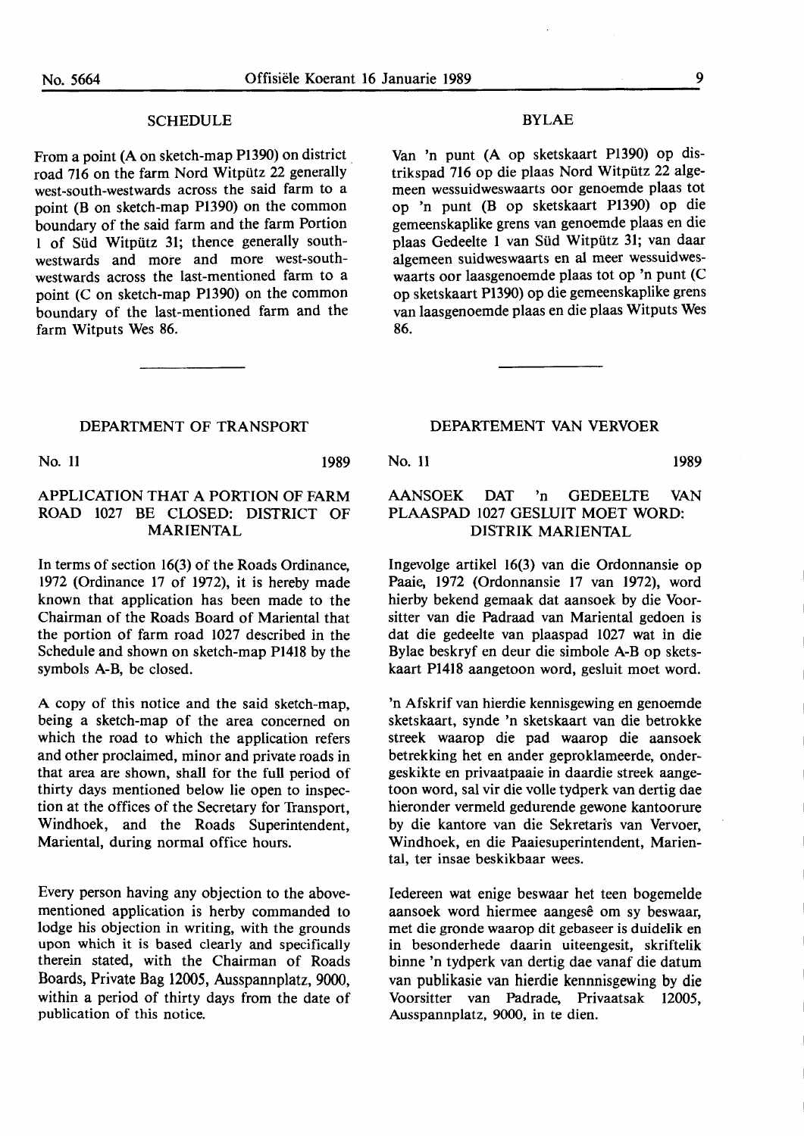#### **SCHEDULE**

From a point (A on sketch-map P1390) on district. road 716 on the farm Nord Witpütz 22 generally west-south-westwards across the said farm to a point (B on sketch-map P1390) on the common boundary of the said farm and the farm Portion l of Siid Witpiitz 31; thence generally southwestwards and more and more west-southwestwards across the last-mentioned farm to a point (C on sketch-map P1390) on the common boundary of the last-mentioned farm and the farm Witputs Wes 86.

#### BYLAE

Van 'n punt (A op sketskaart Pl390) op distrikspad 716 op die plaas Nord Witpiitz 22 algemeen wessuidweswaarts oor genoemde plaas tot op 'n punt (B op sketskaart P1390) op die gemeenskaplike grens van genoemde plaas en die plaas Gedeelte 1 van Siid Witpiitz 31; van daar algemeen suidweswaarts en al meer wessuidweswaarts oor laasgenoemde plaas tot op 'n punt (C op sketskaart P1390) op die gemeenskaplike grens van laasgenoemde plaas en die plaas Witputs Wes **86.** 

#### DEPARTMENT OF TRANSPORT

No. 11 1989

#### APPLICATION THAT A PORTION OF **FARM ROAD** 1027 BE CLOSED: DISTRICT OF MARIENTAL

In terms of section 16(3) of the Roads Ordinance, 1972 (Ordinance 17 of 1972), it is hereby made known that application has been made to the Chairman of the Roads Board of Mariental that the portion of farm road 1027 described in the Schedule and shown on sketch-map P1418 by the symbols A-B, be closed.

A copy of this notice and the said sketch-map, being a sketch-map of the area concerned on which the road to which the application refers and other proclaimed, minor and private roads in that area are shown, shall for the full period of thirty days mentioned below lie open to inspection at the offices of the Secretary for Transport, Windhoek, and the Roads Superintendent, Mariental, during normal office hours.

Every person having any objection to the abovementioned application is herby commanded to lodge his objection in writing, with the grounds upon which it is based clearly and specifically therein stated, with the Chairman of Roads Boards, Private Bag 12005, Ausspannplatz, 9000, within a period of thirty days from the date of publication of this notice.

**DEPARTEMENT VAN VERVOER** 

**No. 11 1989** 

#### **AANSOEK DAT 'n GEDEELTE VAN PLAASPAD** 1027 GESLUIT **MOET WORD: DISTRIK MARIENTAL**

Ingevolge artikel 16(3) van die Ordonnansie op Paaie, 1972 (Ordonnansie 17 van 1972), word hierby bekend gemaak dat aansoek by die Voorsitter van die Padraad van Mariental gedoen is dat die gedeelte van plaaspad 1027 wat in die Bylae beskryf en deur die simbole A-B op sketskaart P1418 aangetoon word, gesluit moet word.

'n Afskrif van hierdie kennisgewing en genoemde sketskaart, synde 'n sketskaart van die betrokke streek waarop die pad waarop die aansoek betrekking het en ander geproklameerde, ondergeskikte en privaatpaaie in daardie streek aangetoon word, sal vir die volle tydperk van dertig dae hieronder vermeld gedurende gewone kantoorure by die kantore van die Sekretaris van Vervoer, Windhoek, en die Paaiesuperintendent, Mariental, ter insae beskikbaar wees.

Iedereen wat enige beswaar het teen bogemelde aansoek word hiermee aangesê om sy beswaar. met die gronde waarop dit gebaseer is duidelik en in besonderhede daarin uiteengesit, skriftelik binne 'n tydperk van dertig dae vanaf die datum van publikasie van hierdie kennnisgewing by die Voorsitter van Padrade, Privaatsak 12005, Ausspannplatz, 9000, in te dien.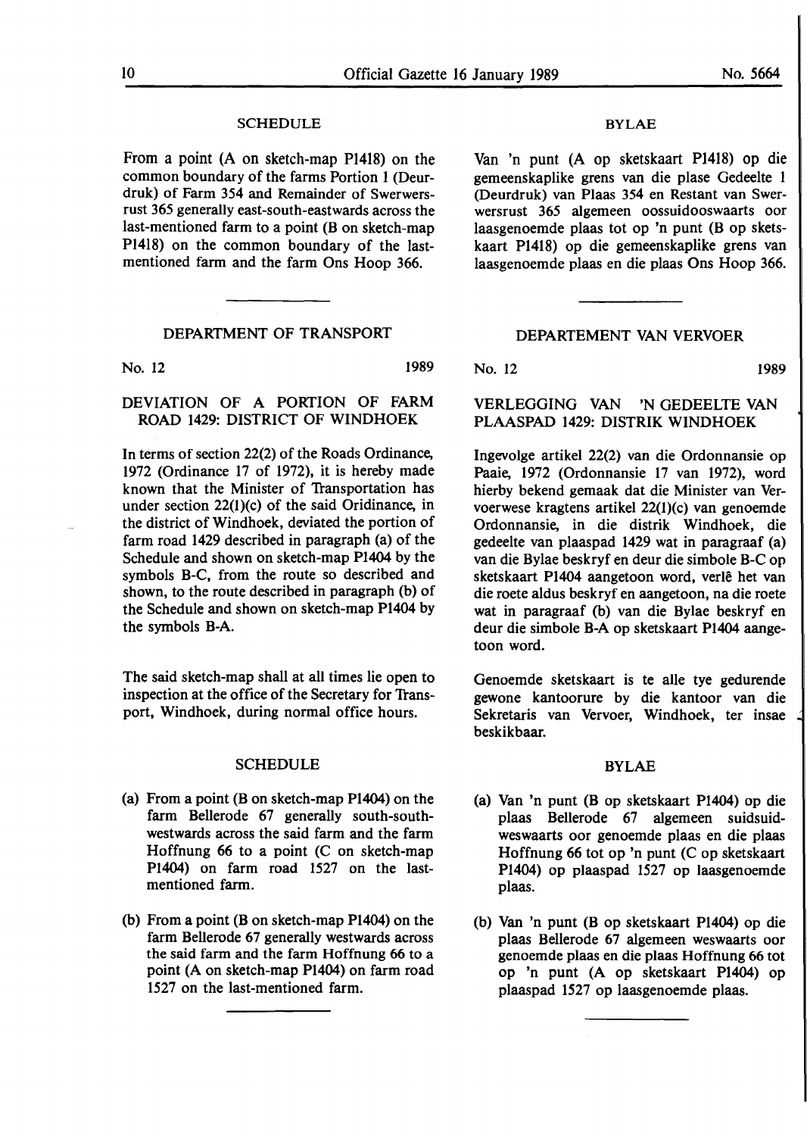#### SCHEDULE

From a point (A on sketch-map P1418) on the common boundary of the farms Portion 1 (Deurdruk) of Farm 354 and Remainder of Swerwersrust 365 generally east-south-eastwards across the last-mentioned farm to a point (B on sketch-map P1418) on the common boundary of the lastmentioned farm and the farm Ons Hoop 366.

#### DEPARTMENT OF TRANSPORT

No. 12 1989

#### DEVIATION OF A PORTION OF FARM ROAD 1429: DISTRICT OF WINDHOEK

In terms of section 22(2) of the Roads Ordinance, 1972 (Ordinance 17 of 1972), it is hereby made known that the Minister of Transportation has under section 22(1)(c) of the said Oridinance, in the district of Windhoek, deviated the portion of farm road 1429 described in paragraph (a) of the Schedule and shown on sketch-map **P1404** by the symbols B-C, from the route so described **and**  shown, to the route described in paragraph (b) of the Schedule and shown on sketch-map P1404 by the symbols B-A.

The said sketch-map shall at **all** times lie open to inspection at the office of the Secretary for Transport, Windhoek, during normal office hours.

#### SCHEDULE

- (a) From a point (B on sketch-map Pl404) on the farm Bellerode 67 generally south-southwestwards across the said farm and the farm Hoffnung 66 to a point (C on sketch-map P1404) on farm road 1527 on the lastmentioned farm.
- (b) From a point (B on sketch-map P1404) on the farm Bellerode 67 generally westwards across the **said** farm and the farm Hoffnung 66 to a point (A on sketch-map P1404) on farm road 1527 on the last-mentioned farm.

#### BYLAE

Van 'n punt (A op sketskaart P1418) op die gemeenskaplike grens van die plase Gedeelte 1 (Deurdruk) van Plaas 354 en Restant van Swerwersrust 365 algemeen oossuidooswaarts oor laasgenoemde plaas tot op 'n punt (B op sketskaart P1418) op die gemeenskaplike grens van laasgenoemde plaas en die plaas Ons Hoop 366.

#### DEPARTEMENT VAN VERVOER

No. 12 1989

#### VERLEGGING **VAN 'N** GEDEELTE VAN **PLAASPAD** 1429: **DISTRIK WINDHOEK**

Ingevolge artikel 22(2) van die Ordonnansie op Paaie, 1972 (Ordonnansie 17 van 1972), word hierby bekend gemaak dat die Minister van Vervoerwese kragtens artikel 22(1)(c) van genoemde Ordonnansie, in die distrik Windhoek, die gedeelte van plaaspad 1429 wat in paragraaf (a) van die Bylae beskryf en deur die simbole B-C op sketskaart P1404 aangetoon word, verlê het van die roete aldus beskryf en aangetoon, na die roete wat in paragraaf (b) van die Bylae beskryf en deur die simbole **B-A** op sketskaart P1404 aangetoon word.

Genoemde sketskaart is te alle tye gedurende gewone kantoorure by die kantoor van die Sekretaris van Vervoer, Windhoek, ter insae beskikbaar.

#### BYLAE

- (a) Van 'n punt (B op sketskaart P1404) op die plaas Bellerode 67 algemeen suidsuidweswaarts oor genoemde plaas en die plaas Hoffnung 66 tot op 'n punt (C op sketskaart P1404) op plaaspad 1527 op laasgenoemde plaas.
- (b) Van 'n punt (B op sketskaart P1404) op die plaas Bellerode 67 algemeen weswaarts oor genoemde plaas en die plaas Hoffnung 66 tot op 'n punt (A op sketskaart P1404) op plaaspad 1527 op laasgenoemde plaas.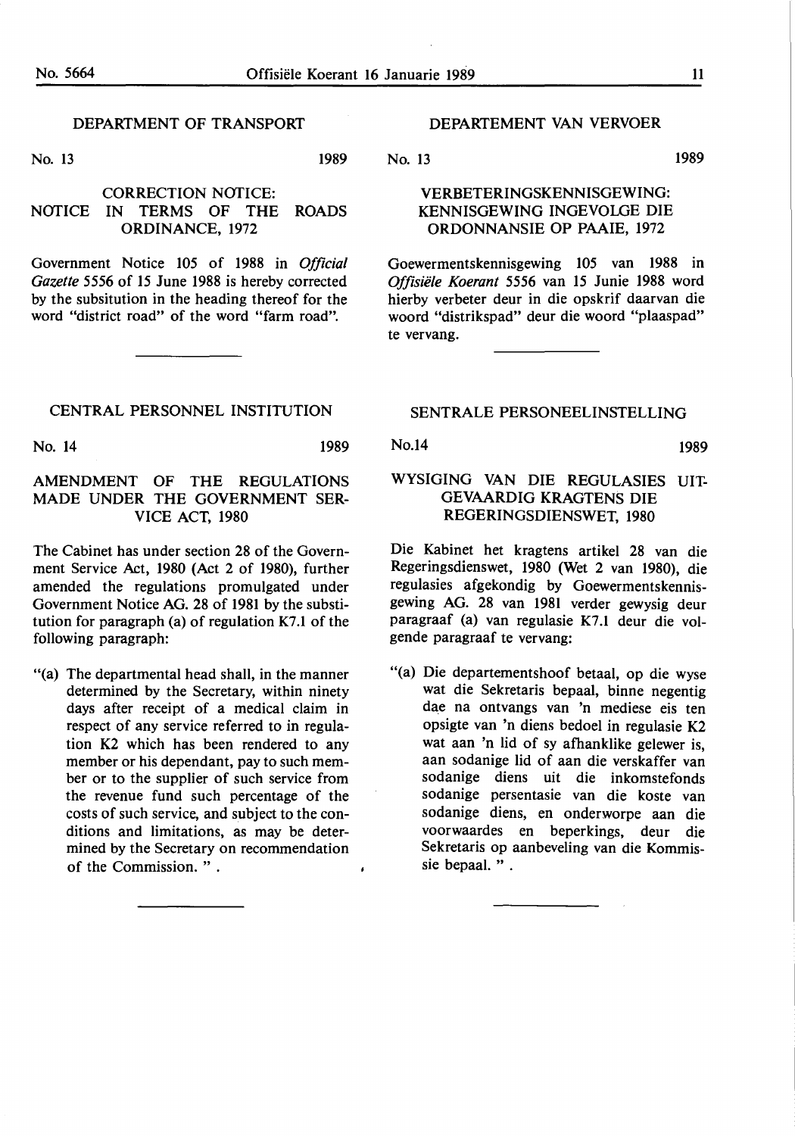1989

#### DEPARTMENT OF TRANSPORT

No. 13

1989

### CORRECTION NOTICE: NOTICE IN TERMS OF THE ROADS ORDINANCE, 1972

Government Notice 105 of 1988 in *Official Gazette 5556* of 15 June 1988 is hereby corrected by the subsitution in the heading thereof for the word "district road" of the word "farm road".

#### **DEPARTEMENT VAN VERVOER**

No. 13

#### **VERBETERINGSKENNISGEWING:**  KENNISGEWING INGEVOLGE DIE **ORDONNANSIE** OP **PAAIE,** 1972

Goewermentskennisgewing 105 van 1988 in *Offisiele Koerant 5556* van 15 Junie 1988 word hierby verbeter deur in die opskrif daarvan die woord "distrikspad" deur die woord "plaaspad" te vervang.

#### CENTRAL PERSONNEL INSTITUTION

No. 14 1989

#### AMENDMENT OF THE REGULATIONS MADE UNDER THE GOVERNMENT SER-VICE ACT, 1980

The Cabinet has under section 28 of the Government Service Act, 1980 (Act 2 of 1980), further amended the regulations promulgated under Government Notice AG. 28 of 1981 by the substitution for paragraph (a) of regulation K7.1 of the following paragraph:

"(a) The departmental head shall, in the manner determined by the Secretary, within ninety days after receipt of a medical claim in respect of any service referred to in regulation K2 which has been rendered to any member or his dependant, pay to such member or to the supplier of such service from the revenue fund such percentage of the costs of such service, and subject to the conditions and limitations, as may be determined by the Secretary on recommendation of the Commission. " .

#### **SENTRALE PERSONEELINSTELLING**

No.14 **1989** 

#### **WYSIGING VAN DIE REGULASIES** UIT-**GEVAARDIG KRAGTENS DIE REGERINGSDIENSWET, 1980**

Die Kabinet bet kragtens artikel 28 van die Regeringsdienswet, 1980 (Wet 2 van 1980), die regulasies afgekondig by Goewermentskennisgewing AG. 28 van 1981 verder gewysig deur paragraaf (a) van regulasie K7.1 deur die volgende paragraaf te vervang:

"(a) Die departementshoof betaal, op die wyse wat die Sekretaris bepaal, binne negentig dae na ontvangs van 'n mediese eis ten opsigte van 'n diens bedoel in regulasie K2 wat aan 'n lid of sy afhanklike gelewer is, aan sodanige lid of aan die verskaffer van sodanige diens uit die inkomstefonds sodanige persentasie van die koste van sodanige diens, en onderworpe aan die voorwaardes en beperkings, deur die Sekretaris op aanbeveling van die Kommissie bepaal. " .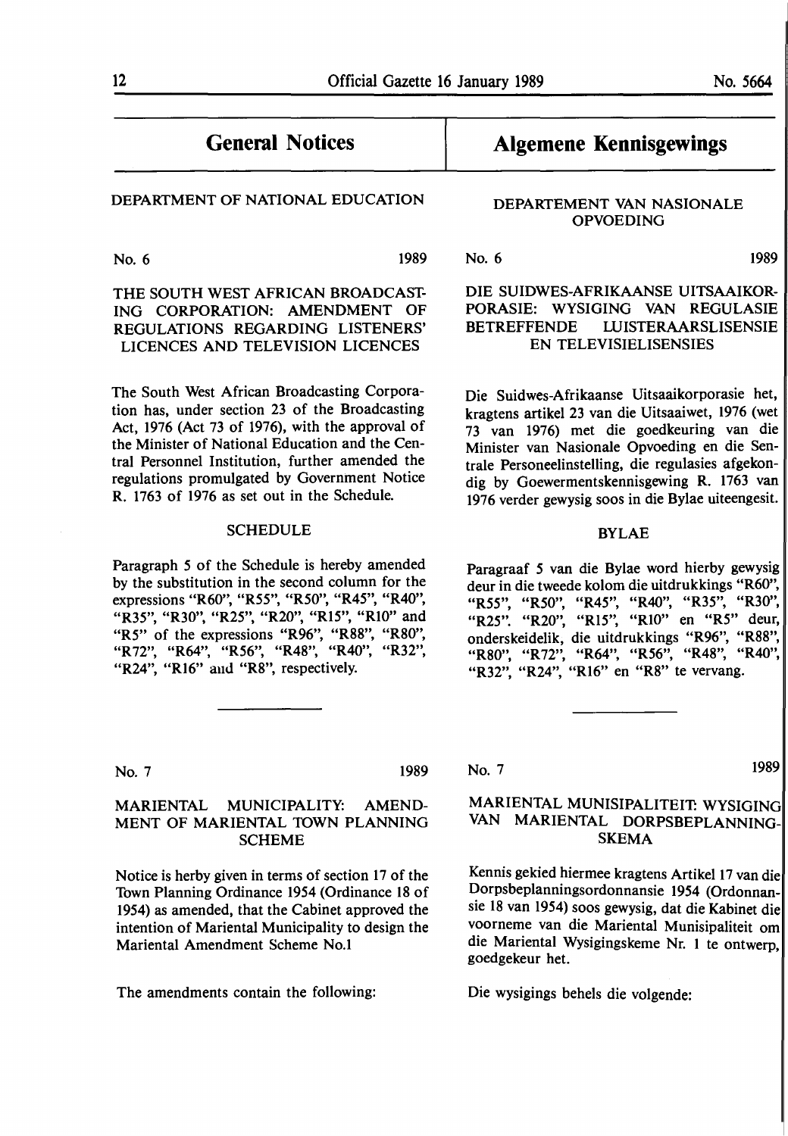#### DEPARTMENT OF NATIONAL EDUCATION

No. 6 1989

### THE SOUTH WEST AFRICAN BROADCAST-ING CORPORATION: AMENDMENT OF REGULATIONS REGARDING LISTENERS' LICENCES AND TELEVISION LICENCES

The South West African Broadcasting Corporation has, under section 23 of the Broadcasting Act, 1976 (Act 73 of 1976), with the approval of the Minister of National Education and the Central Personnel Institution, further amended the regulations promulgated by Government Notice **R.** 1763 of 1976 as set out in the Schedule.

#### **SCHEDULE**

Paragraph *5* of the Schedule is hereby amended by the substitution in the second column for the expressions **"R60",** *"RSS", "RSO",* **"R45", "R40", "R35", "R30", "R25", "R20", "Rl5", "RIO"** and *"RS"* of the expressions **"R96", "R88", "R80", "R** 72", **"R64", "R56", "R48", "R40", "R32", "R24", "R16"** and **"RS",** respectively.

### DEPARTEMENT VAN NASIONALE **OPVOEDING**

**Algemene Kennisgewings** 

No. 6 1989

### DIE SUIDWES-AFRIKAANSE UITSAAIKOR-PORASIE: WYSIGING VAN REGULASIE BETREFFENDE LUISTERAARSLISENSIE EN TELEVISIELISENSIES

Die Suidwes-Afrikaanse Uitsaaikorporasie het, kragtens artikel 23 van die Uitsaaiwet, 1976 (wet 73 van 1976) met die goedkeuring van die Minister van Nasionale Opvoeding en die Sentrale Personeelinstelling, die regulasies afgekondig by Goewermentskennisgewing R. 1763 van 1976 verder gewysig soos in die Bylae uiteengesit.

#### BYLAE

Paragraaf *5* van die Bylae word hierby gewysig deur in die tweede kolom die uitdrukkings "R60", *"RSS", "RSO",* "R45", "R40", "R35", "R30", "R25". "R20", "Rl5", "RIO" en *"RS"* deur, onderskeidelik, die uitdrukkings "R96", "R88", "R80", "R72", "R64", "R56", "R48", "R40", "R32", "R24", "R16" en "R8" te vervang.

No. 7 1989

#### MARIENTAL MUNICIPALITY: AMEND-MENT OF MARIENTAL TOWN PLANNING SCHEME

Notice is herby given in terms of section 17 of the Town Planning Ordinance 1954 (Ordinance 18 of 1954) as amended, that the Cabinet approved the intention of Mariental Municipality to design the Mariental Amendment Scheme No.I

The amendments contain the following:

No. 7 1989

### MARIENTAL MUNISIPALITEIT: WYSIGING VAN MARIENTAL DORPSBEPLANNING-**SKEMA**

Kennis gekied hiermee kragtens Artikel 17 van die Dorpsbeplanningsordonnansie 1954 (Ordonnansie 18 van 1954) soos gewysig, dat die Kabinet die voorneme van die Mariental Munisipaliteit om die Mariental Wysigingskeme Nr. 1 te ontwerp, goedgekeur het.

Die wysigings behels die volgende: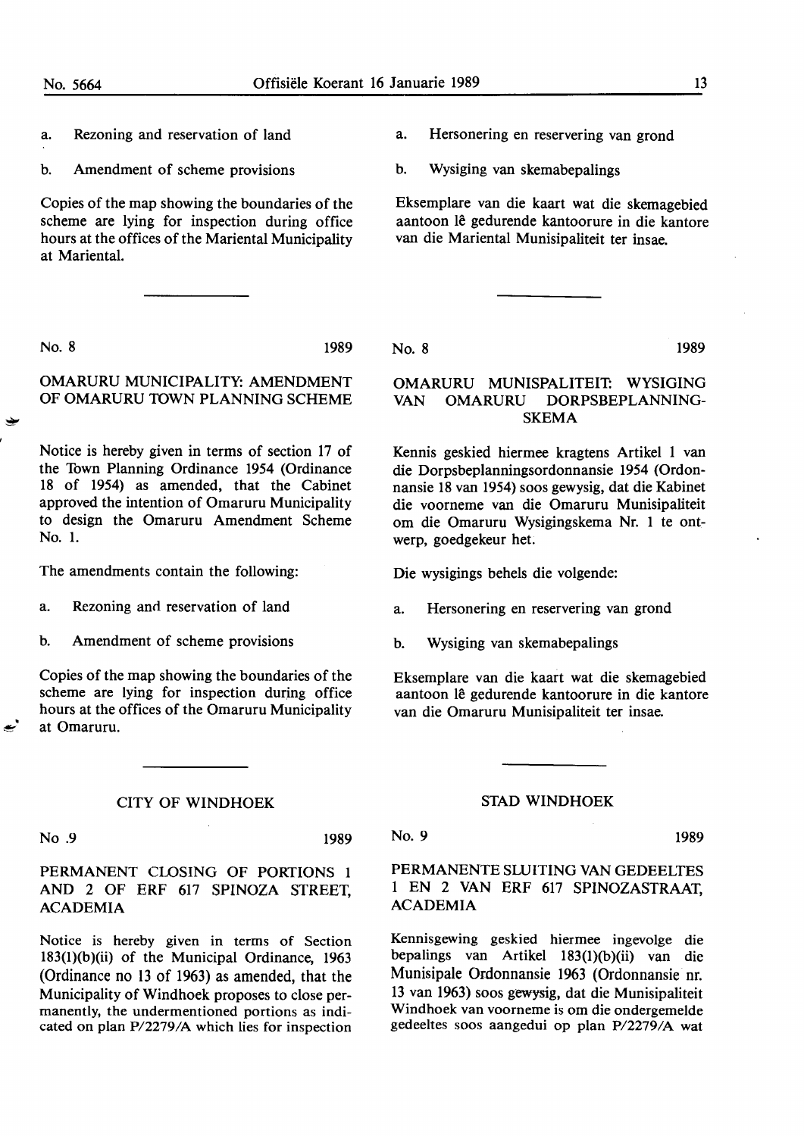a. Rezoning and reservation of land

b. Amendment of scheme provisions

Copies of the map showing the boundaries of the scheme are lying for inspection during office hours at the offices of the Mariental Municipality at Mariental.

No. 8 **1989** 

### **OMARURU MUNICIPALITY: AMENDMENT**  OF **OMARURU TOWN PLANNING** SCHEME

Notice is hereby given in terms of section 17 of the Town Planning Ordinance 1954 (Ordinance 18 of 1954) as amended, that the Cabinet approved the intention of Omaruru Municipality to design the Omaruru Amendment Scheme No. 1.

The amendments contain the following:

- a. Rezoning and reservation of land
- b. Amendment of scheme provisions

Copies of the map showing the boundaries of the scheme are lying for inspection during office hours at the offices of the Omaruru Municipality at Omaruru.

No. 8 **1989** 

#### **OMARURU MUNISPALITEIT: WYSIGING VAN OMARURU DORPSBEPLANNING-SKEMA**

a. Hersonering en reservering van grond

van die Mariental Munisipaliteit ter insae.

Eksemplare van die kaart wat die skemagebied aantoon lê gedurende kantoorure in die kantore

b. Wysiging van skemabepalings

Kennis geskied hiermee kragtens Artikel 1 van die Dorpsbeplanningsordonnansie 1954 (Ordonnansie 18 van 1954) soos gewysig, dat die Kabinet die voorneme van die Omaruru Munisipaliteit om die Omaruru Wysigingskema Nr. 1 te ontwerp, goedgekeur het.

Die wysigings behels die volgende:

- a. Hersonering en reservering van grond
- b. Wysiging van skemabepalings

Eksemplare van die kaart wat die skemagebied aantoon le gedurende kantoorure in die kantore van die Omaruru Munisipaliteit ter insae.

#### **CITY OF WINDHOEK**

No .9 1989

#### PERMANENT CLOSING OF PORTIONS I AND 2 OF ERF 617 SPINOZA STREET, ACADEMIA

Notice is hereby given in terms of Section 183(l)(b)(ii) of the Municipal Ordinance, 1963 (Ordinance no 13 of 1963) as amended, that the Municipality of Windhoek proposes to close permanently, the undermentioned portions as indicated on plan P/2279/A which lies for inspection

#### **STAD WINDHOEK**

No. 9 1989

#### PERMANENTE SLUITING VAN GEDEELTES 1 EN 2 VAN ERF 617 SPINOZASTRAAT, ACADEMIA

Kennisgewing geskied hiermee ingevolge die bepalings van Artikel 183(l)(b)(ii) van die Munisipale Ordonnansie 1963 (Ordonnansie nr. 13 van 1963) soos gewysig, dat die Munisipaliteit Windhoek van voorneme is om die ondergemelde gedeeltes soos aangedui op plan P/2279/A wat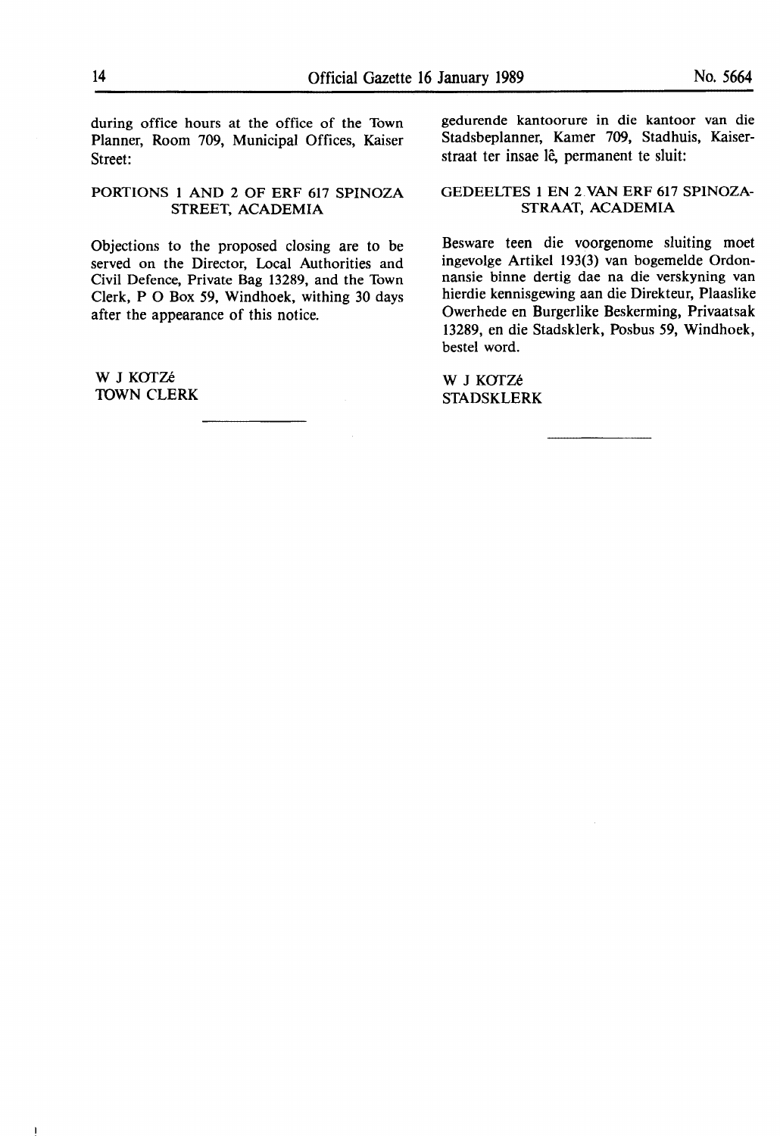during office hours at the office of the Town Planner, Room 709, Municipal Offices, Kaiser Street:

#### PORTIONS I AND 2 OF ERF 617 SPINOZA STREET, **ACADEMIA**

Objections to the proposed closing are to be served on the Director, Local Authorities and Civil Defence, Private Bag 13289, and the Town Clerk, **P** O Box *59,* Windhoek, withing 30 days after the appearance of this notice.

W J KOTZé TOWN CLERK gedurende kantoorure in die kantoor van die Stadsbeplanner, Kamer 709, Stadhuis, Kaiserstraat ter insae lê, permanent te sluit:

#### **GEDEELTES** I **EN 2.VAN ERF 617 SPINOZA-STRAAT, ACADEMIA**

Besware teen die voorgenome sluiting moet ingevolge Artikel 193(3) van bogemelde Ordonnansie binne dertig dae na die verskyning van hierdie kennisgewing aan die Direkteur, Plaaslike Owerhede en Burgerlike Beskerming, Privaatsak 13289, en die Stadsklerk, Posbus *59,* Windhoek, bestel word.

W J KOTZé STADSKLERK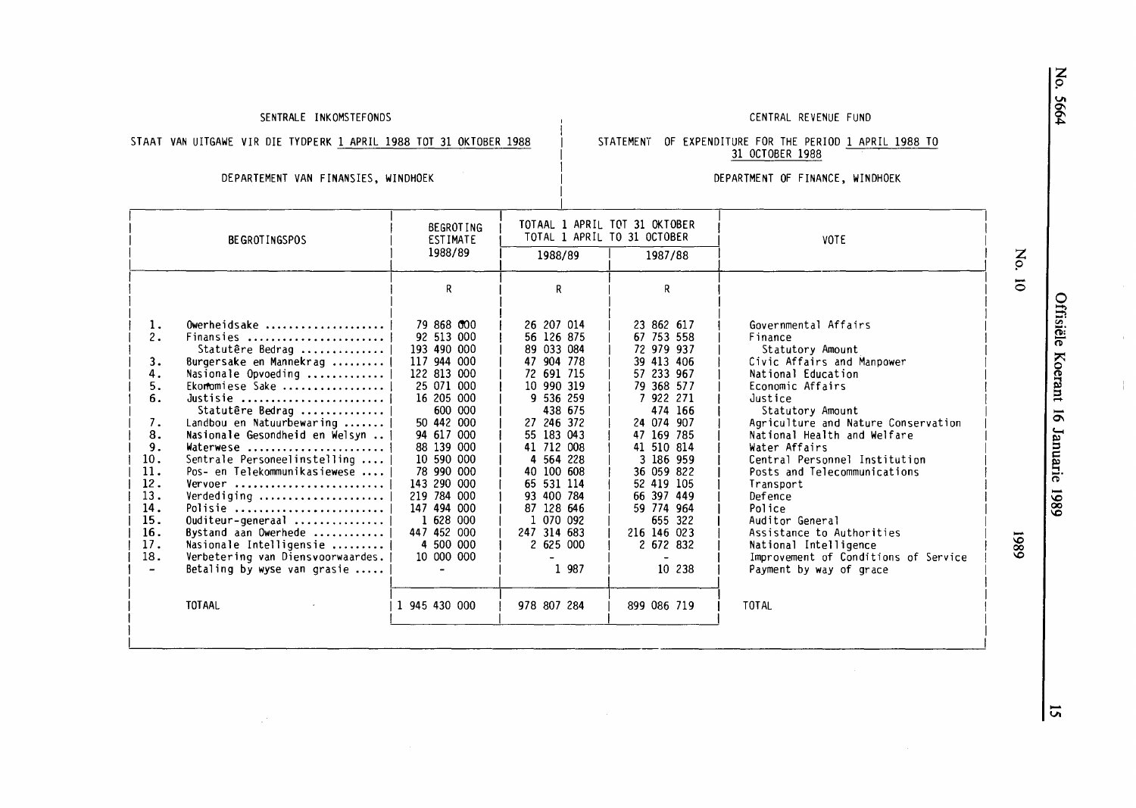#### SENTRALE INKOMSTEFONOS CENTRAL REVENUE FUND

STAAT VAN UITGAWE VIR DIE TYDPERK 1 APRIL 1988 TOT 31 OKTOBER 1988

# STATEMENT OF EXPENDITURE FOR THE PERIOD 1 APRIL 1988 TO<br>31 OCTOBER 1988

OEPARTEMENT VAN FINANSIES, WINDHOEK DEPARTMENT OF FINANCE, WINDHOEK

| BE GROT INGSPOS                                                                                                                               |                                                                                                                                                                                                                                                                                                                                                                                                                                                                                                     | TOTAAL 1 APRIL TOT 31 OKTOBER<br><b>BEGROTING</b>                                                                                                                                                                                                                                                       |                                                                                                                                                                                                                                                                                           |                                                                                                                                                                                                                                                                                         |                                                                                                                                                                                                                                                                                                                                                                                                                                                                                                           |                |
|-----------------------------------------------------------------------------------------------------------------------------------------------|-----------------------------------------------------------------------------------------------------------------------------------------------------------------------------------------------------------------------------------------------------------------------------------------------------------------------------------------------------------------------------------------------------------------------------------------------------------------------------------------------------|---------------------------------------------------------------------------------------------------------------------------------------------------------------------------------------------------------------------------------------------------------------------------------------------------------|-------------------------------------------------------------------------------------------------------------------------------------------------------------------------------------------------------------------------------------------------------------------------------------------|-----------------------------------------------------------------------------------------------------------------------------------------------------------------------------------------------------------------------------------------------------------------------------------------|-----------------------------------------------------------------------------------------------------------------------------------------------------------------------------------------------------------------------------------------------------------------------------------------------------------------------------------------------------------------------------------------------------------------------------------------------------------------------------------------------------------|----------------|
|                                                                                                                                               |                                                                                                                                                                                                                                                                                                                                                                                                                                                                                                     | ESTIMATE                                                                                                                                                                                                                                                                                                |                                                                                                                                                                                                                                                                                           | TOTAL 1 APRIL TO 31 OCTOBER                                                                                                                                                                                                                                                             | <b>VOTE</b>                                                                                                                                                                                                                                                                                                                                                                                                                                                                                               |                |
|                                                                                                                                               |                                                                                                                                                                                                                                                                                                                                                                                                                                                                                                     | 1988/89                                                                                                                                                                                                                                                                                                 | 1988/89                                                                                                                                                                                                                                                                                   | 1987/88                                                                                                                                                                                                                                                                                 |                                                                                                                                                                                                                                                                                                                                                                                                                                                                                                           | No.            |
|                                                                                                                                               |                                                                                                                                                                                                                                                                                                                                                                                                                                                                                                     | R                                                                                                                                                                                                                                                                                                       | R                                                                                                                                                                                                                                                                                         | R                                                                                                                                                                                                                                                                                       |                                                                                                                                                                                                                                                                                                                                                                                                                                                                                                           | $\overline{5}$ |
| 1.<br>2.<br>3.<br>4.<br>5.<br>6.<br>7.<br>8.<br>9.<br>10.<br>11.<br>12.<br>13.<br>14.<br>15.<br>16.<br>17.<br>18.<br>$\overline{\phantom{0}}$ | Owerheidsake<br>Finansies<br>Statutêre Bedrag<br>Burgersake en Mannekrag<br>Nasionale Opvoeding<br>Ekonomiese Sake<br>Justisie<br>Statutêre Bedrag<br>Landbou en Natuurbewaring<br>Nasionale Gesondheid en Welsyn<br>Waterwese<br>Sentrale Personeelinstelling<br>Pos- en Telekommunikasiewese<br>$V$ ervoer<br>Verdediging<br>Polisie<br>Ouditeur-generaal<br>Bystand aan Owerhede<br>Nasionale Intelligensie<br>Verbetering van Diensvoorwaardes.<br>Betaling by wyse van grasie<br><b>TOTAAL</b> | 79 868 000<br>92 513 000<br>193 490 000<br>117 944 000<br>122 813 000<br>25 071 000<br>16 205 000<br>600 000<br>50 442 000<br>94 617 000<br>88 139 000<br>10 590 000<br>78 990 000<br>143 290 000<br>219 784 000<br>147 494 000<br>1 628 000<br>447 452 000<br>4 500 000<br>10 000 000<br>1 945 430 000 | 26 207 014<br>56 126 875<br>89 033 084<br>47 904 778<br>72 691 715<br>10 990 319<br>9 536 259<br>438 675<br>27 246 372<br>55 183 043<br>41 712 008<br>4 5 64 228<br>40 100 608<br>65 531 114<br>93 400 784<br>87 128 646<br>1 070 092<br>247 314 683<br>2 625 000<br>1 987<br>978 807 284 | 23 862 617<br>67 753 558<br>72 979 937<br>39 413 406<br>57 233 967<br>79 368 577<br>7 922 271<br>474 166<br>24 074 907<br>47 169 785<br>41 510 814<br>3 186 959<br>36 059 822<br>52 419 105<br>66 397 449<br>59 774 964<br>655 322<br>216 146 023<br>2 672 832<br>10 238<br>899 086 719 | Governmental Affairs<br>Finance<br>Statutory Amount<br>Civic Affairs and Manpower<br>National Education<br>Economic Affairs<br>Justice<br>Statutory Amount<br>Agriculture and Nature Conservation<br>National Health and Welfare<br>Water Affairs<br>Central Personnel Institution<br>Posts and Telecommunications<br>Transport<br>Defence<br>Police<br>Auditor General<br>Assistance to Authorities<br>National Intelligence<br>Improvement of Conditions of Service<br>Payment by way of grace<br>T0TAL | 6861           |

z p VI  $64$ 

- VI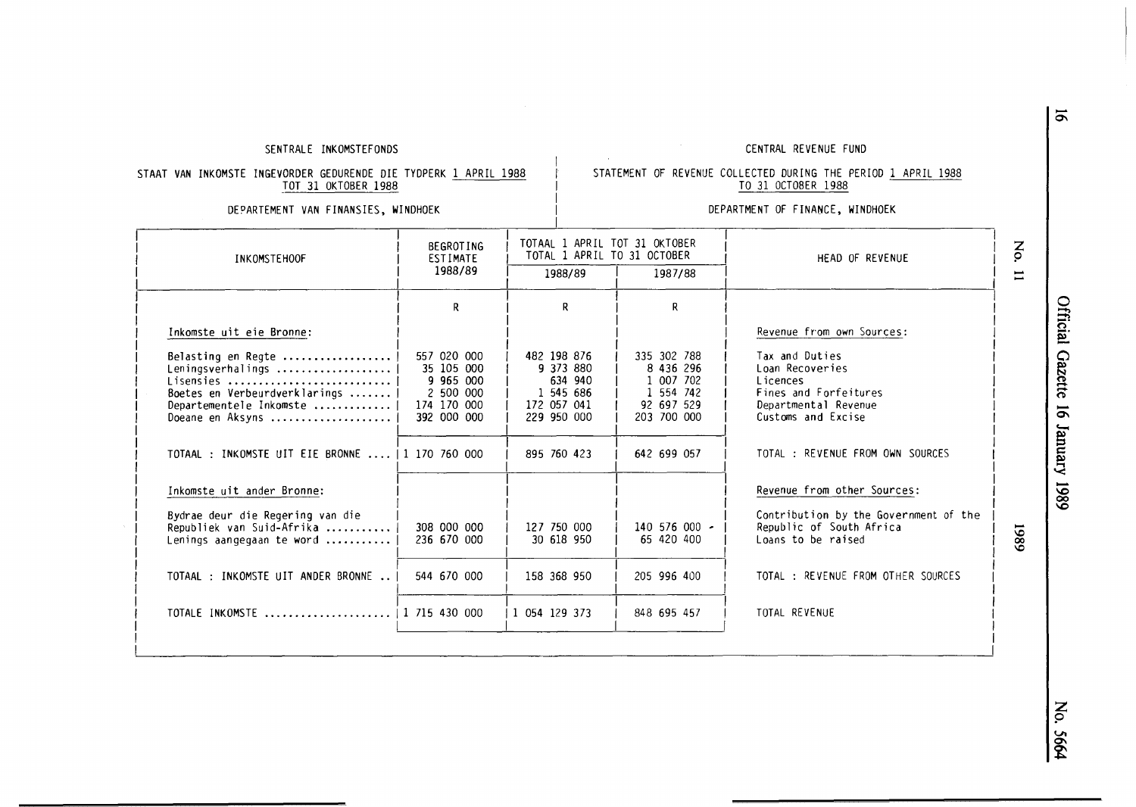### SENTRALE INKOMSTEFONDS CENTRAL REVENUE FUND

#### STAAT VAN INKOMSTE INGEVORDER GEDURENDE DIE TYDPERK 1 APRIL 1988 TOT 31 OKTOBER 1988

#### DE PARTEMENT VAN FINANSIES, WINDHOEK

#### STATEMENT OF REVENUE COLLECTED DURING THE PERIOD <u>1 APRIL 1988</u> TO 31 OCTOBER 1988

#### DEPARTMENT OF FINANCE, WINDHOEK

| <b>INKOMSTEHOOF</b>                                                                                                                           | <b>BEGROTING</b><br>ESTIMATE<br>1988/89                                           | TOTAAL 1 APRIL TOT 31 OKTOBER<br>TOTAL 1 APRIL TO 31 OCTOBER<br>1988/89<br>1987/88 |                                                                                 | HEAD OF REVENUE                                                                                                        | $\mathsf{S}^{\mathsf{C}}$<br>$\equiv$ |
|-----------------------------------------------------------------------------------------------------------------------------------------------|-----------------------------------------------------------------------------------|------------------------------------------------------------------------------------|---------------------------------------------------------------------------------|------------------------------------------------------------------------------------------------------------------------|---------------------------------------|
|                                                                                                                                               | R.                                                                                | R                                                                                  | R                                                                               |                                                                                                                        |                                       |
| Inkomste uit eie Bronne:                                                                                                                      |                                                                                   |                                                                                    |                                                                                 | Revenue from own Sources:                                                                                              |                                       |
| Belasting en Regte<br>Leningsverhalings   <br>Lisensies<br>Boetes en Verbeurdverklarings   <br>Departementele Inkomste   <br>Doeane en Aksyns | 557 020 000<br>35 105 000<br>9 965 000<br>2 500 000<br>174 170 000<br>392 000 000 | 482 198 876<br>9 373 880<br>634 940<br>1 545 686<br>172 057 041<br>229 950 000     | 335 302 788<br>8 436 296<br>1 007 702<br>1 554 742<br>92 697 529<br>203 700 000 | Tax and Duties<br>Loan Recoveries<br>Licences<br>Fines and Forfeitures<br>Departmental Revenue<br>Customs and Excise   |                                       |
| TOTAAL : INKOMSTE UIT EIE BRONNE    1 170 760 000                                                                                             |                                                                                   | 895 760 423                                                                        | 642 699 057                                                                     | TOTAL: REVENUE FROM OWN SOURCES                                                                                        |                                       |
| Inkomste uit ander Bronne:<br>Bydrae deur die Regering van die<br>Republiek van Suid-Afrika   <br>Lenings aangegaan te word                   | 308 000 000<br>236 670 000                                                        | 127 750 000<br>30 618 950                                                          | $140\,576\,000$ -<br>65 420 400                                                 | Revenue from other Sources:<br>Contribution by the Government of the<br>Republic of South Africa<br>Loans to be raised | 6861                                  |
| TOTAAL : INKOMSTE UIT ANDER BRONNE                                                                                                            | 544 670 000                                                                       | 158 368 950                                                                        | 205 996 400                                                                     | TOTAL : REVENUE FROM OTHER SOURCES                                                                                     |                                       |
| TOTALE INKOMSTE  1 715 430 000                                                                                                                |                                                                                   | 1 054 129 373                                                                      | 848 695 457                                                                     | TOTAL REVENUE                                                                                                          |                                       |
|                                                                                                                                               |                                                                                   |                                                                                    |                                                                                 |                                                                                                                        |                                       |